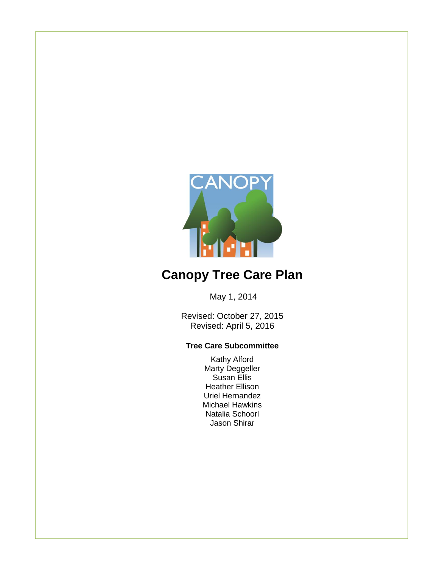

# **Canopy Tree Care Plan**

May 1, 2014

Revised: October 27, 2015 Revised: April 5, 2016

#### **Tree Care Subcommittee**

Kathy Alford Marty Deggeller Susan Ellis Heather Ellison Uriel Hernandez Michael Hawkins Natalia Schoorl Jason Shirar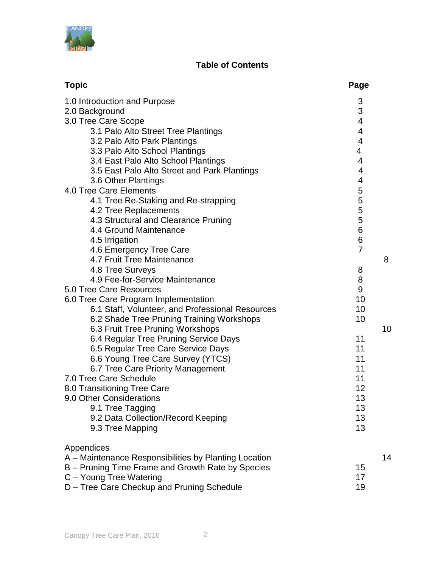

### **Table of Contents**

| <b>Topic</b>                                                | Page                     |
|-------------------------------------------------------------|--------------------------|
| 1.0 Introduction and Purpose                                | 3                        |
| 2.0 Background                                              | 3                        |
| 3.0 Tree Care Scope                                         | $\overline{\mathbf{4}}$  |
| 3.1 Palo Alto Street Tree Plantings                         | $\overline{\mathbf{4}}$  |
| 3.2 Palo Alto Park Plantings                                | $\overline{\mathcal{A}}$ |
| 3.3 Palo Alto School Plantings                              | 4                        |
| 3.4 East Palo Alto School Plantings                         | 4                        |
| 3.5 East Palo Alto Street and Park Plantings                | 4                        |
| 3.6 Other Plantings                                         | 4                        |
| 4.0 Tree Care Elements                                      | 5                        |
| 4.1 Tree Re-Staking and Re-strapping                        | 5                        |
| 4.2 Tree Replacements                                       | 5                        |
| 4.3 Structural and Clearance Pruning                        | 5                        |
| 4.4 Ground Maintenance                                      | 6                        |
| 4.5 Irrigation                                              | 6                        |
| 4.6 Emergency Tree Care                                     | $\overline{7}$           |
| 4.7 Fruit Tree Maintenance                                  | 8                        |
| 4.8 Tree Surveys                                            | 8                        |
| 4.9 Fee-for-Service Maintenance                             | 8                        |
| 5.0 Tree Care Resources                                     | 9                        |
| 6.0 Tree Care Program Implementation                        | 10                       |
| 6.1 Staff, Volunteer, and Professional Resources            | 10                       |
| 6.2 Shade Tree Pruning Training Workshops                   | 10                       |
| 6.3 Fruit Tree Pruning Workshops                            | 10<br>11                 |
| 6.4 Regular Tree Pruning Service Days                       | 11                       |
| 6.5 Regular Tree Care Service Days                          | 11                       |
| 6.6 Young Tree Care Survey (YTCS)                           | 11                       |
| 6.7 Tree Care Priority Management<br>7.0 Tree Care Schedule | 11                       |
| 8.0 Transitioning Tree Care                                 | 12                       |
| 9.0 Other Considerations                                    | 13                       |
| 9.1 Tree Tagging                                            | 13                       |
| 9.2 Data Collection/Record Keeping                          | 13                       |
| 9.3 Tree Mapping                                            | 13                       |
|                                                             |                          |
| Appendices                                                  |                          |
| A – Maintenance Responsibilities by Planting Location       | 14                       |
| B – Pruning Time Frame and Growth Rate by Species           | 15                       |
| C - Young Tree Watering                                     | 17                       |
| D - Tree Care Checkup and Pruning Schedule                  | 19                       |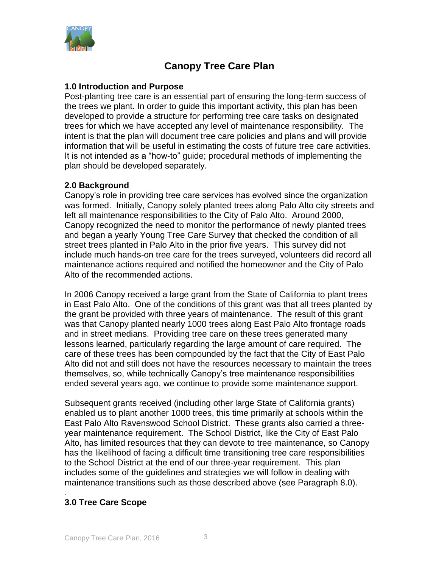

## **Canopy Tree Care Plan**

#### **1.0 Introduction and Purpose**

Post-planting tree care is an essential part of ensuring the long-term success of the trees we plant. In order to guide this important activity, this plan has been developed to provide a structure for performing tree care tasks on designated trees for which we have accepted any level of maintenance responsibility. The intent is that the plan will document tree care policies and plans and will provide information that will be useful in estimating the costs of future tree care activities. It is not intended as a "how-to" guide; procedural methods of implementing the plan should be developed separately.

#### **2.0 Background**

Canopy's role in providing tree care services has evolved since the organization was formed. Initially, Canopy solely planted trees along Palo Alto city streets and left all maintenance responsibilities to the City of Palo Alto. Around 2000, Canopy recognized the need to monitor the performance of newly planted trees and began a yearly Young Tree Care Survey that checked the condition of all street trees planted in Palo Alto in the prior five years. This survey did not include much hands-on tree care for the trees surveyed, volunteers did record all maintenance actions required and notified the homeowner and the City of Palo Alto of the recommended actions.

In 2006 Canopy received a large grant from the State of California to plant trees in East Palo Alto. One of the conditions of this grant was that all trees planted by the grant be provided with three years of maintenance. The result of this grant was that Canopy planted nearly 1000 trees along East Palo Alto frontage roads and in street medians. Providing tree care on these trees generated many lessons learned, particularly regarding the large amount of care required. The care of these trees has been compounded by the fact that the City of East Palo Alto did not and still does not have the resources necessary to maintain the trees themselves, so, while technically Canopy's tree maintenance responsibilities ended several years ago, we continue to provide some maintenance support.

Subsequent grants received (including other large State of California grants) enabled us to plant another 1000 trees, this time primarily at schools within the East Palo Alto Ravenswood School District. These grants also carried a threeyear maintenance requirement. The School District, like the City of East Palo Alto, has limited resources that they can devote to tree maintenance, so Canopy has the likelihood of facing a difficult time transitioning tree care responsibilities to the School District at the end of our three-year requirement. This plan includes some of the guidelines and strategies we will follow in dealing with maintenance transitions such as those described above (see Paragraph 8.0).

#### . **3.0 Tree Care Scope**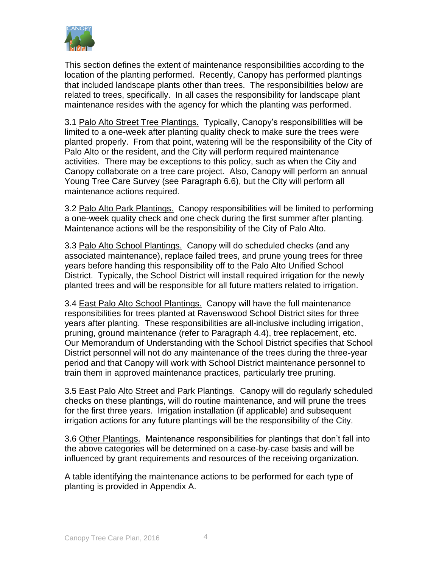

This section defines the extent of maintenance responsibilities according to the location of the planting performed. Recently, Canopy has performed plantings that included landscape plants other than trees. The responsibilities below are related to trees, specifically. In all cases the responsibility for landscape plant maintenance resides with the agency for which the planting was performed.

3.1 Palo Alto Street Tree Plantings. Typically, Canopy's responsibilities will be limited to a one-week after planting quality check to make sure the trees were planted properly. From that point, watering will be the responsibility of the City of Palo Alto or the resident, and the City will perform required maintenance activities. There may be exceptions to this policy, such as when the City and Canopy collaborate on a tree care project. Also, Canopy will perform an annual Young Tree Care Survey (see Paragraph 6.6), but the City will perform all maintenance actions required.

3.2 Palo Alto Park Plantings. Canopy responsibilities will be limited to performing a one-week quality check and one check during the first summer after planting. Maintenance actions will be the responsibility of the City of Palo Alto.

3.3 Palo Alto School Plantings. Canopy will do scheduled checks (and any associated maintenance), replace failed trees, and prune young trees for three years before handing this responsibility off to the Palo Alto Unified School District. Typically, the School District will install required irrigation for the newly planted trees and will be responsible for all future matters related to irrigation.

3.4 East Palo Alto School Plantings. Canopy will have the full maintenance responsibilities for trees planted at Ravenswood School District sites for three years after planting. These responsibilities are all-inclusive including irrigation, pruning, ground maintenance (refer to Paragraph 4.4), tree replacement, etc. Our Memorandum of Understanding with the School District specifies that School District personnel will not do any maintenance of the trees during the three-year period and that Canopy will work with School District maintenance personnel to train them in approved maintenance practices, particularly tree pruning.

3.5 East Palo Alto Street and Park Plantings. Canopy will do regularly scheduled checks on these plantings, will do routine maintenance, and will prune the trees for the first three years. Irrigation installation (if applicable) and subsequent irrigation actions for any future plantings will be the responsibility of the City.

3.6 Other Plantings. Maintenance responsibilities for plantings that don't fall into the above categories will be determined on a case-by-case basis and will be influenced by grant requirements and resources of the receiving organization.

A table identifying the maintenance actions to be performed for each type of planting is provided in Appendix A.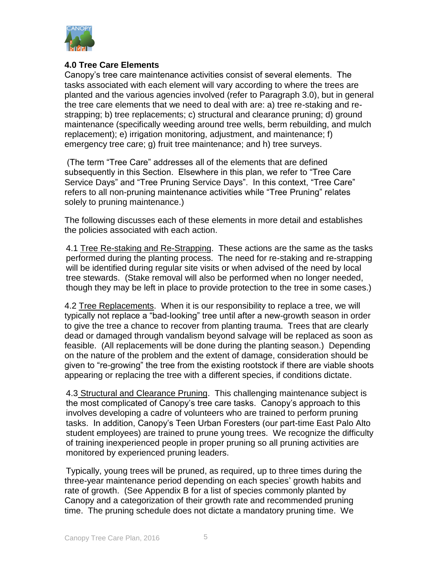

#### **4.0 Tree Care Elements**

Canopy's tree care maintenance activities consist of several elements. The tasks associated with each element will vary according to where the trees are planted and the various agencies involved (refer to Paragraph 3.0), but in general the tree care elements that we need to deal with are: a) tree re-staking and restrapping; b) tree replacements; c) structural and clearance pruning; d) ground maintenance (specifically weeding around tree wells, berm rebuilding, and mulch replacement); e) irrigation monitoring, adjustment, and maintenance; f) emergency tree care; g) fruit tree maintenance; and h) tree surveys.

(The term "Tree Care" addresses all of the elements that are defined subsequently in this Section. Elsewhere in this plan, we refer to "Tree Care Service Days" and "Tree Pruning Service Days". In this context, "Tree Care" refers to all non-pruning maintenance activities while "Tree Pruning" relates solely to pruning maintenance.)

The following discusses each of these elements in more detail and establishes the policies associated with each action.

4.1 Tree Re-staking and Re-Strapping.These actions are the same as the tasks performed during the planting process. The need for re-staking and re-strapping will be identified during regular site visits or when advised of the need by local tree stewards. (Stake removal will also be performed when no longer needed, though they may be left in place to provide protection to the tree in some cases.)

4.2 Tree Replacements. When it is our responsibility to replace a tree, we will typically not replace a "bad-looking" tree until after a new-growth season in order to give the tree a chance to recover from planting trauma. Trees that are clearly dead or damaged through vandalism beyond salvage will be replaced as soon as feasible. (All replacements will be done during the planting season.) Depending on the nature of the problem and the extent of damage, consideration should be given to "re-growing" the tree from the existing rootstock if there are viable shoots appearing or replacing the tree with a different species, if conditions dictate.

4.3 Structural and Clearance Pruning. This challenging maintenance subject is the most complicated of Canopy's tree care tasks. Canopy's approach to this involves developing a cadre of volunteers who are trained to perform pruning tasks. In addition, Canopy's Teen Urban Foresters (our part-time East Palo Alto student employees) are trained to prune young trees. We recognize the difficulty of training inexperienced people in proper pruning so all pruning activities are monitored by experienced pruning leaders.

Typically, young trees will be pruned, as required, up to three times during the three-year maintenance period depending on each species' growth habits and rate of growth. (See Appendix B for a list of species commonly planted by Canopy and a categorization of their growth rate and recommended pruning time. The pruning schedule does not dictate a mandatory pruning time. We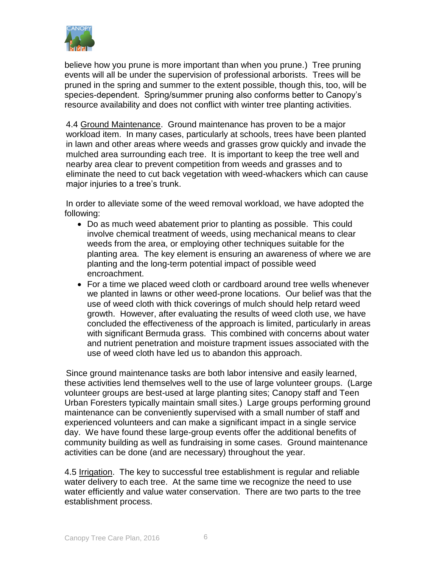

believe how you prune is more important than when you prune.) Tree pruning events will all be under the supervision of professional arborists. Trees will be pruned in the spring and summer to the extent possible, though this, too, will be species-dependent. Spring/summer pruning also conforms better to Canopy's resource availability and does not conflict with winter tree planting activities.

4.4 Ground Maintenance. Ground maintenance has proven to be a major workload item. In many cases, particularly at schools, trees have been planted in lawn and other areas where weeds and grasses grow quickly and invade the mulched area surrounding each tree. It is important to keep the tree well and nearby area clear to prevent competition from weeds and grasses and to eliminate the need to cut back vegetation with weed-whackers which can cause major injuries to a tree's trunk.

In order to alleviate some of the weed removal workload, we have adopted the following:

- Do as much weed abatement prior to planting as possible. This could involve chemical treatment of weeds, using mechanical means to clear weeds from the area, or employing other techniques suitable for the planting area. The key element is ensuring an awareness of where we are planting and the long-term potential impact of possible weed encroachment.
- For a time we placed weed cloth or cardboard around tree wells whenever we planted in lawns or other weed-prone locations. Our belief was that the use of weed cloth with thick coverings of mulch should help retard weed growth. However, after evaluating the results of weed cloth use, we have concluded the effectiveness of the approach is limited, particularly in areas with significant Bermuda grass. This combined with concerns about water and nutrient penetration and moisture trapment issues associated with the use of weed cloth have led us to abandon this approach.

Since ground maintenance tasks are both labor intensive and easily learned, these activities lend themselves well to the use of large volunteer groups. (Large volunteer groups are best-used at large planting sites; Canopy staff and Teen Urban Foresters typically maintain small sites.) Large groups performing ground maintenance can be conveniently supervised with a small number of staff and experienced volunteers and can make a significant impact in a single service day. We have found these large-group events offer the additional benefits of community building as well as fundraising in some cases. Ground maintenance activities can be done (and are necessary) throughout the year.

4.5 Irrigation. The key to successful tree establishment is regular and reliable water delivery to each tree. At the same time we recognize the need to use water efficiently and value water conservation. There are two parts to the tree establishment process.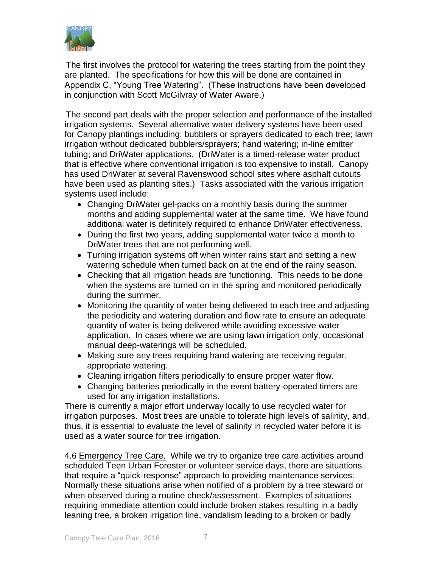

The first involves the protocol for watering the trees starting from the point they are planted. The specifications for how this will be done are contained in Appendix C, "Young Tree Watering". (These instructions have been developed in conjunction with Scott McGilvray of Water Aware.)

The second part deals with the proper selection and performance of the installed irrigation systems. Several alternative water delivery systems have been used for Canopy plantings including: bubblers or sprayers dedicated to each tree; lawn irrigation without dedicated bubblers/sprayers; hand watering; in-line emitter tubing; and DriWater applications. (DriWater is a timed-release water product that is effective where conventional irrigation is too expensive to install. Canopy has used DriWater at several Ravenswood school sites where asphalt cutouts have been used as planting sites.) Tasks associated with the various irrigation systems used include:

- Changing DriWater gel-packs on a monthly basis during the summer months and adding supplemental water at the same time. We have found additional water is definitely required to enhance DriWater effectiveness.
- During the first two years, adding supplemental water twice a month to DriWater trees that are not performing well.
- Turning irrigation systems off when winter rains start and setting a new watering schedule when turned back on at the end of the rainy season.
- Checking that all irrigation heads are functioning. This needs to be done when the systems are turned on in the spring and monitored periodically during the summer.
- Monitoring the quantity of water being delivered to each tree and adjusting the periodicity and watering duration and flow rate to ensure an adequate quantity of water is being delivered while avoiding excessive water application. In cases where we are using lawn irrigation only, occasional manual deep-waterings will be scheduled.
- Making sure any trees requiring hand watering are receiving regular, appropriate watering.
- Cleaning irrigation filters periodically to ensure proper water flow.
- Changing batteries periodically in the event battery-operated timers are used for any irrigation installations.

There is currently a major effort underway locally to use recycled water for irrigation purposes. Most trees are unable to tolerate high levels of salinity, and, thus, it is essential to evaluate the level of salinity in recycled water before it is used as a water source for tree irrigation.

4.6 Emergency Tree Care. While we try to organize tree care activities around scheduled Teen Urban Forester or volunteer service days, there are situations that require a "quick-response" approach to providing maintenance services. Normally these situations arise when notified of a problem by a tree steward or when observed during a routine check/assessment. Examples of situations requiring immediate attention could include broken stakes resulting in a badly leaning tree, a broken irrigation line, vandalism leading to a broken or badly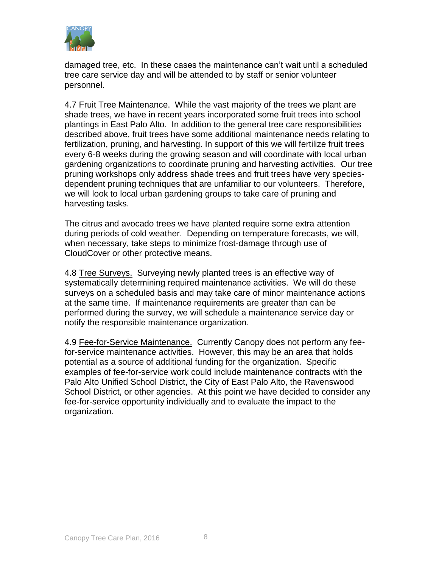

damaged tree, etc. In these cases the maintenance can't wait until a scheduled tree care service day and will be attended to by staff or senior volunteer personnel.

4.7 Fruit Tree Maintenance. While the vast majority of the trees we plant are shade trees, we have in recent years incorporated some fruit trees into school plantings in East Palo Alto. In addition to the general tree care responsibilities described above, fruit trees have some additional maintenance needs relating to fertilization, pruning, and harvesting. In support of this we will fertilize fruit trees every 6-8 weeks during the growing season and will coordinate with local urban gardening organizations to coordinate pruning and harvesting activities. Our tree pruning workshops only address shade trees and fruit trees have very speciesdependent pruning techniques that are unfamiliar to our volunteers. Therefore, we will look to local urban gardening groups to take care of pruning and harvesting tasks.

The citrus and avocado trees we have planted require some extra attention during periods of cold weather. Depending on temperature forecasts, we will, when necessary, take steps to minimize frost-damage through use of CloudCover or other protective means.

4.8 Tree Surveys. Surveying newly planted trees is an effective way of systematically determining required maintenance activities. We will do these surveys on a scheduled basis and may take care of minor maintenance actions at the same time. If maintenance requirements are greater than can be performed during the survey, we will schedule a maintenance service day or notify the responsible maintenance organization.

4.9 Fee-for-Service Maintenance. Currently Canopy does not perform any feefor-service maintenance activities. However, this may be an area that holds potential as a source of additional funding for the organization. Specific examples of fee-for-service work could include maintenance contracts with the Palo Alto Unified School District, the City of East Palo Alto, the Ravenswood School District, or other agencies. At this point we have decided to consider any fee-for-service opportunity individually and to evaluate the impact to the organization.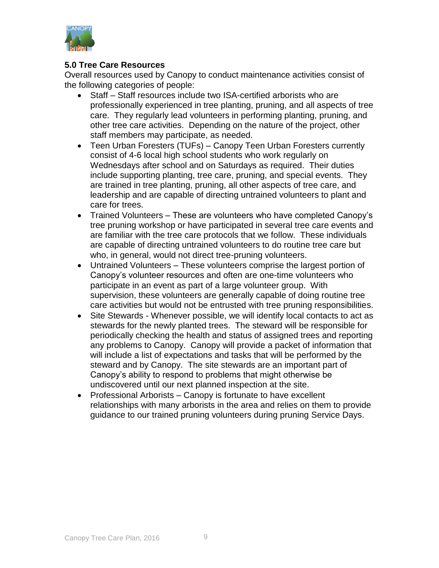

#### **5.0 Tree Care Resources**

Overall resources used by Canopy to conduct maintenance activities consist of the following categories of people:

- Staff Staff resources include two ISA-certified arborists who are professionally experienced in tree planting, pruning, and all aspects of tree care. They regularly lead volunteers in performing planting, pruning, and other tree care activities. Depending on the nature of the project, other staff members may participate, as needed.
- Teen Urban Foresters (TUFs) Canopy Teen Urban Foresters currently consist of 4-6 local high school students who work regularly on Wednesdays after school and on Saturdays as required. Their duties include supporting planting, tree care, pruning, and special events. They are trained in tree planting, pruning, all other aspects of tree care, and leadership and are capable of directing untrained volunteers to plant and care for trees.
- Trained Volunteers These are volunteers who have completed Canopy's tree pruning workshop or have participated in several tree care events and are familiar with the tree care protocols that we follow. These individuals are capable of directing untrained volunteers to do routine tree care but who, in general, would not direct tree-pruning volunteers.
- Untrained Volunteers These volunteers comprise the largest portion of Canopy's volunteer resources and often are one-time volunteers who participate in an event as part of a large volunteer group. With supervision, these volunteers are generally capable of doing routine tree care activities but would not be entrusted with tree pruning responsibilities.
- Site Stewards Whenever possible, we will identify local contacts to act as stewards for the newly planted trees. The steward will be responsible for periodically checking the health and status of assigned trees and reporting any problems to Canopy. Canopy will provide a packet of information that will include a list of expectations and tasks that will be performed by the steward and by Canopy. The site stewards are an important part of Canopy's ability to respond to problems that might otherwise be undiscovered until our next planned inspection at the site.
- Professional Arborists Canopy is fortunate to have excellent relationships with many arborists in the area and relies on them to provide guidance to our trained pruning volunteers during pruning Service Days.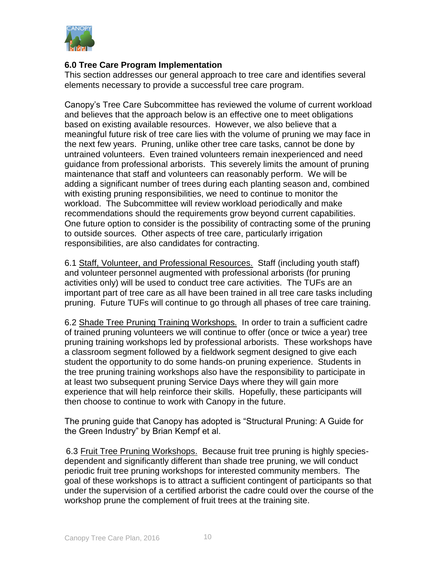

#### **6.0 Tree Care Program Implementation**

This section addresses our general approach to tree care and identifies several elements necessary to provide a successful tree care program.

Canopy's Tree Care Subcommittee has reviewed the volume of current workload and believes that the approach below is an effective one to meet obligations based on existing available resources. However, we also believe that a meaningful future risk of tree care lies with the volume of pruning we may face in the next few years. Pruning, unlike other tree care tasks, cannot be done by untrained volunteers. Even trained volunteers remain inexperienced and need guidance from professional arborists. This severely limits the amount of pruning maintenance that staff and volunteers can reasonably perform. We will be adding a significant number of trees during each planting season and, combined with existing pruning responsibilities, we need to continue to monitor the workload. The Subcommittee will review workload periodically and make recommendations should the requirements grow beyond current capabilities. One future option to consider is the possibility of contracting some of the pruning to outside sources. Other aspects of tree care, particularly irrigation responsibilities, are also candidates for contracting.

6.1 Staff, Volunteer, and Professional Resources. Staff (including youth staff) and volunteer personnel augmented with professional arborists (for pruning activities only) will be used to conduct tree care activities. The TUFs are an important part of tree care as all have been trained in all tree care tasks including pruning. Future TUFs will continue to go through all phases of tree care training.

6.2 Shade Tree Pruning Training Workshops. In order to train a sufficient cadre of trained pruning volunteers we will continue to offer (once or twice a year) tree pruning training workshops led by professional arborists. These workshops have a classroom segment followed by a fieldwork segment designed to give each student the opportunity to do some hands-on pruning experience. Students in the tree pruning training workshops also have the responsibility to participate in at least two subsequent pruning Service Days where they will gain more experience that will help reinforce their skills. Hopefully, these participants will then choose to continue to work with Canopy in the future.

The pruning guide that Canopy has adopted is "Structural Pruning: A Guide for the Green Industry" by Brian Kempf et al.

6.3 Fruit Tree Pruning Workshops. Because fruit tree pruning is highly speciesdependent and significantly different than shade tree pruning, we will conduct periodic fruit tree pruning workshops for interested community members. The goal of these workshops is to attract a sufficient contingent of participants so that under the supervision of a certified arborist the cadre could over the course of the workshop prune the complement of fruit trees at the training site.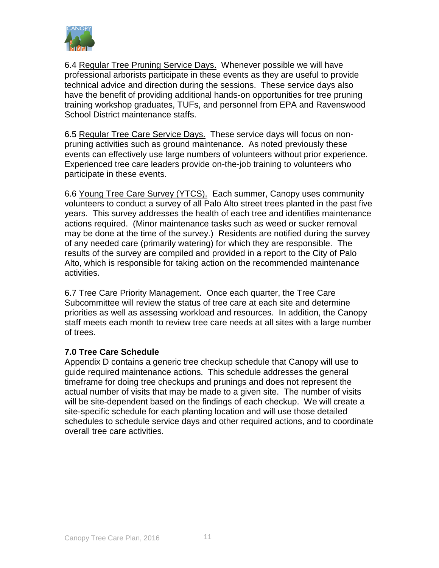

6.4 Regular Tree Pruning Service Days. Whenever possible we will have professional arborists participate in these events as they are useful to provide technical advice and direction during the sessions. These service days also have the benefit of providing additional hands-on opportunities for tree pruning training workshop graduates, TUFs, and personnel from EPA and Ravenswood School District maintenance staffs.

6.5 Regular Tree Care Service Days. These service days will focus on nonpruning activities such as ground maintenance. As noted previously these events can effectively use large numbers of volunteers without prior experience. Experienced tree care leaders provide on-the-job training to volunteers who participate in these events.

6.6 Young Tree Care Survey (YTCS). Each summer, Canopy uses community volunteers to conduct a survey of all Palo Alto street trees planted in the past five years. This survey addresses the health of each tree and identifies maintenance actions required. (Minor maintenance tasks such as weed or sucker removal may be done at the time of the survey.) Residents are notified during the survey of any needed care (primarily watering) for which they are responsible. The results of the survey are compiled and provided in a report to the City of Palo Alto, which is responsible for taking action on the recommended maintenance activities.

6.7 Tree Care Priority Management. Once each quarter, the Tree Care Subcommittee will review the status of tree care at each site and determine priorities as well as assessing workload and resources. In addition, the Canopy staff meets each month to review tree care needs at all sites with a large number of trees.

#### **7.0 Tree Care Schedule**

Appendix D contains a generic tree checkup schedule that Canopy will use to guide required maintenance actions. This schedule addresses the general timeframe for doing tree checkups and prunings and does not represent the actual number of visits that may be made to a given site. The number of visits will be site-dependent based on the findings of each checkup. We will create a site-specific schedule for each planting location and will use those detailed schedules to schedule service days and other required actions, and to coordinate overall tree care activities.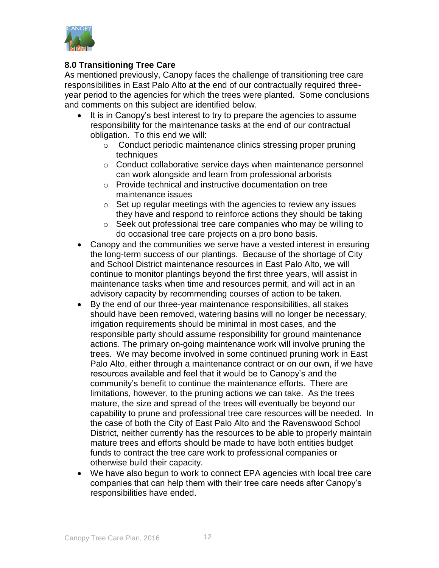

#### **8.0 Transitioning Tree Care**

As mentioned previously, Canopy faces the challenge of transitioning tree care responsibilities in East Palo Alto at the end of our contractually required threeyear period to the agencies for which the trees were planted. Some conclusions and comments on this subject are identified below.

- It is in Canopy's best interest to try to prepare the agencies to assume responsibility for the maintenance tasks at the end of our contractual obligation. To this end we will:
	- o Conduct periodic maintenance clinics stressing proper pruning techniques
	- o Conduct collaborative service days when maintenance personnel can work alongside and learn from professional arborists
	- o Provide technical and instructive documentation on tree maintenance issues
	- $\circ$  Set up regular meetings with the agencies to review any issues they have and respond to reinforce actions they should be taking
	- o Seek out professional tree care companies who may be willing to do occasional tree care projects on a pro bono basis.
- Canopy and the communities we serve have a vested interest in ensuring the long-term success of our plantings. Because of the shortage of City and School District maintenance resources in East Palo Alto, we will continue to monitor plantings beyond the first three years, will assist in maintenance tasks when time and resources permit, and will act in an advisory capacity by recommending courses of action to be taken.
- By the end of our three-year maintenance responsibilities, all stakes should have been removed, watering basins will no longer be necessary, irrigation requirements should be minimal in most cases, and the responsible party should assume responsibility for ground maintenance actions. The primary on-going maintenance work will involve pruning the trees. We may become involved in some continued pruning work in East Palo Alto, either through a maintenance contract or on our own, if we have resources available and feel that it would be to Canopy's and the community's benefit to continue the maintenance efforts. There are limitations, however, to the pruning actions we can take. As the trees mature, the size and spread of the trees will eventually be beyond our capability to prune and professional tree care resources will be needed. In the case of both the City of East Palo Alto and the Ravenswood School District, neither currently has the resources to be able to properly maintain mature trees and efforts should be made to have both entities budget funds to contract the tree care work to professional companies or otherwise build their capacity.
- We have also begun to work to connect EPA agencies with local tree care companies that can help them with their tree care needs after Canopy's responsibilities have ended.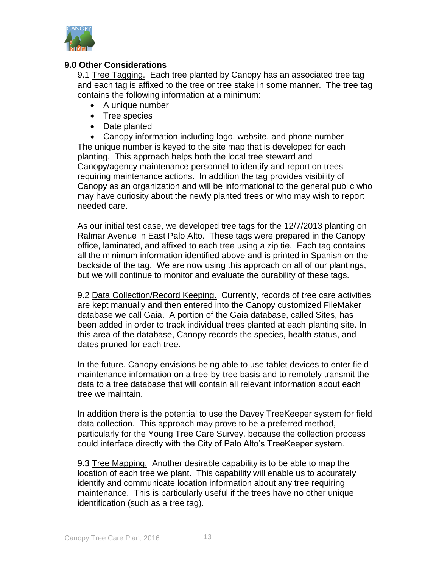

#### **9.0 Other Considerations**

9.1 Tree Tagging. Each tree planted by Canopy has an associated tree tag and each tag is affixed to the tree or tree stake in some manner. The tree tag contains the following information at a minimum:

- A unique number
- Tree species
- Date planted

 Canopy information including logo, website, and phone number The unique number is keyed to the site map that is developed for each planting. This approach helps both the local tree steward and Canopy/agency maintenance personnel to identify and report on trees requiring maintenance actions. In addition the tag provides visibility of Canopy as an organization and will be informational to the general public who may have curiosity about the newly planted trees or who may wish to report needed care.

As our initial test case, we developed tree tags for the 12/7/2013 planting on Ralmar Avenue in East Palo Alto. These tags were prepared in the Canopy office, laminated, and affixed to each tree using a zip tie. Each tag contains all the minimum information identified above and is printed in Spanish on the backside of the tag. We are now using this approach on all of our plantings, but we will continue to monitor and evaluate the durability of these tags.

9.2 Data Collection/Record Keeping. Currently, records of tree care activities are kept manually and then entered into the Canopy customized FileMaker database we call Gaia. A portion of the Gaia database, called Sites, has been added in order to track individual trees planted at each planting site. In this area of the database, Canopy records the species, health status, and dates pruned for each tree.

In the future, Canopy envisions being able to use tablet devices to enter field maintenance information on a tree-by-tree basis and to remotely transmit the data to a tree database that will contain all relevant information about each tree we maintain.

In addition there is the potential to use the Davey TreeKeeper system for field data collection. This approach may prove to be a preferred method, particularly for the Young Tree Care Survey, because the collection process could interface directly with the City of Palo Alto's TreeKeeper system.

9.3 Tree Mapping. Another desirable capability is to be able to map the location of each tree we plant. This capability will enable us to accurately identify and communicate location information about any tree requiring maintenance. This is particularly useful if the trees have no other unique identification (such as a tree tag).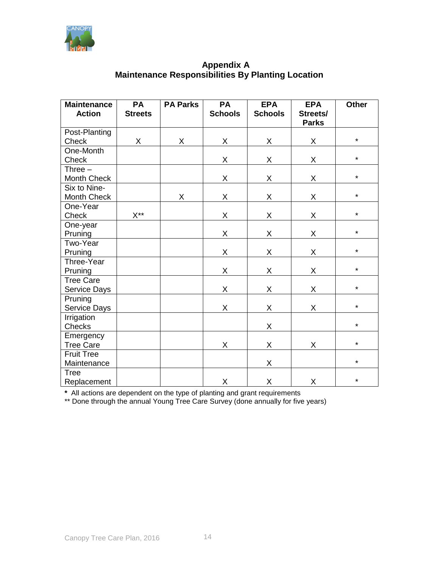

#### **Appendix A Maintenance Responsibilities By Planting Location**

| <b>Maintenance</b><br><b>Action</b> | PA<br><b>Streets</b> | <b>PA Parks</b> | <b>PA</b><br><b>Schools</b> | <b>EPA</b><br><b>Schools</b> | <b>EPA</b><br>Streets/<br><b>Parks</b> | <b>Other</b> |
|-------------------------------------|----------------------|-----------------|-----------------------------|------------------------------|----------------------------------------|--------------|
| Post-Planting                       |                      |                 |                             |                              |                                        |              |
| <b>Check</b>                        | X                    | X               | X                           | X                            | X                                      | $\star$      |
| One-Month                           |                      |                 |                             |                              |                                        |              |
| Check                               |                      |                 | X                           | X                            | X                                      | $\star$      |
| Three $-$                           |                      |                 |                             |                              |                                        |              |
| Month Check                         |                      |                 | X                           | X                            | X                                      | $\star$      |
| Six to Nine-                        |                      |                 |                             |                              |                                        |              |
| Month Check                         |                      | $\mathsf X$     | X                           | X                            | X                                      | $\star$      |
| One-Year                            |                      |                 |                             |                              |                                        |              |
| Check                               | $X^{**}$             |                 | X                           | X                            | X                                      | $\star$      |
| One-year                            |                      |                 |                             |                              |                                        |              |
| Pruning                             |                      |                 | X                           | X                            | X                                      | $\star$      |
| Two-Year                            |                      |                 |                             |                              |                                        |              |
| Pruning                             |                      |                 | X                           | X                            | Χ                                      | $\star$      |
| Three-Year                          |                      |                 |                             |                              |                                        |              |
| Pruning                             |                      |                 | X                           | X                            | X                                      | $\star$      |
| <b>Tree Care</b>                    |                      |                 |                             |                              |                                        |              |
| Service Days                        |                      |                 | X                           | X                            | X                                      | $\star$      |
| Pruning                             |                      |                 |                             |                              |                                        |              |
| Service Days                        |                      |                 | X                           | X                            | X                                      | $\star$      |
| Irrigation                          |                      |                 |                             |                              |                                        |              |
| Checks                              |                      |                 |                             | X                            |                                        | $\star$      |
| Emergency                           |                      |                 |                             |                              |                                        |              |
| <b>Tree Care</b>                    |                      |                 | X                           | X                            | Χ                                      | $\star$      |
| <b>Fruit Tree</b>                   |                      |                 |                             |                              |                                        |              |
| Maintenance                         |                      |                 |                             | X                            |                                        | $\star$      |
| <b>Tree</b>                         |                      |                 |                             |                              |                                        |              |
| Replacement                         |                      |                 | X                           | X                            | X                                      | $\star$      |

**\*** All actions are dependent on the type of planting and grant requirements

\*\* Done through the annual Young Tree Care Survey (done annually for five years)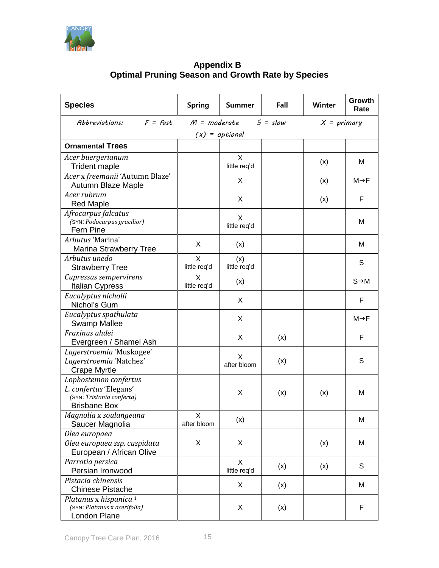

#### **Appendix B Optimal Pruning Season and Growth Rate by Species**

| <b>Species</b>                                                                                      | <b>Spring</b>                | <b>Summer</b>       | Fall | <b>Winter</b> | Growth<br>Rate    |
|-----------------------------------------------------------------------------------------------------|------------------------------|---------------------|------|---------------|-------------------|
| $F =$ fast<br>Abbreviations:                                                                        | $5 = slow$<br>$M = moderate$ |                     |      | $X = primary$ |                   |
|                                                                                                     |                              | $(x) = optimal$     |      |               |                   |
| <b>Ornamental Trees</b>                                                                             |                              |                     |      |               |                   |
| Acer buergerianum<br><b>Trident maple</b>                                                           |                              | X<br>little req'd   |      | (x)           | M                 |
| Acer x freemanii 'Autumn Blaze'<br>Autumn Blaze Maple                                               |                              | X                   |      | (x)           | M→F               |
| Acer rubrum<br><b>Red Maple</b>                                                                     |                              | X                   |      | (x)           | F                 |
| Afrocarpus falcatus<br>(SYN: Podocarpus gracilior)<br>Fern Pine                                     |                              | X<br>little req'd   |      |               | M                 |
| Arbutus 'Marina'<br><b>Marina Strawberry Tree</b>                                                   | X                            | (x)                 |      |               | м                 |
| Arbutus unedo<br><b>Strawberry Tree</b>                                                             | X<br>little req'd            | (x)<br>little req'd |      |               | S                 |
| Cupressus sempervirens<br><b>Italian Cypress</b>                                                    | X<br>little reg'd            | (x)                 |      |               | $S \rightarrow M$ |
| Eucalyptus nicholii<br>Nichol's Gum                                                                 |                              | X                   |      |               | F                 |
| Eucalyptus spathulata<br><b>Swamp Mallee</b>                                                        |                              | X                   |      |               | M→F               |
| Fraxinus uhdei<br>Evergreen / Shamel Ash                                                            |                              | X                   | (x)  |               | F                 |
| Lagerstroemia 'Muskogee'<br>Lagerstroemia 'Natchez'<br><b>Crape Myrtle</b>                          |                              | X<br>after bloom    | (x)  |               | S                 |
| Lophostemon confertus<br>L. confertus 'Elegans'<br>(SYN: Tristania conferta)<br><b>Brisbane Box</b> |                              | X                   | (x)  | (x)           | М                 |
| Magnolia x soulangeana<br>Saucer Magnolia                                                           | X.<br>after bloom            | (x)                 |      |               | M                 |
| Olea europaea<br>Olea europaea ssp. cuspidata<br>European / African Olive                           | X                            | X                   |      | (x)           | M                 |
| Parrotia persica<br>Persian Ironwood                                                                |                              | X<br>little req'd   | (x)  | (x)           | S                 |
| Pistacia chinensis<br><b>Chinese Pistache</b>                                                       |                              | X                   | (x)  |               | M                 |
| Platanus x hispanica 1<br>(SYN: Platanus x acerifolia)<br>London Plane                              |                              | X                   | (x)  |               | F                 |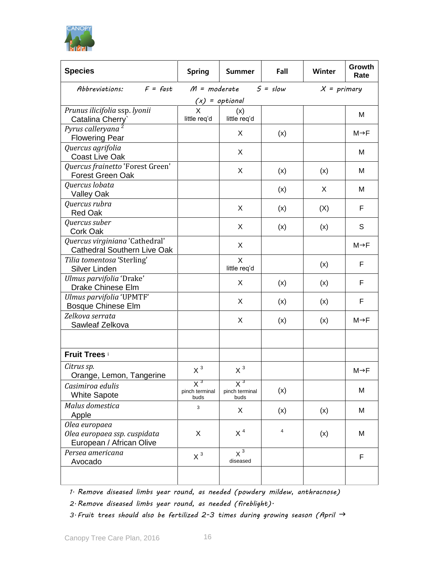

| <b>Species</b>                                                            | <b>Spring</b>                   | <b>Summer</b>                   | Fall       | Winter        | Growth<br>Rate    |  |
|---------------------------------------------------------------------------|---------------------------------|---------------------------------|------------|---------------|-------------------|--|
| $F =$ fast<br>Abbreviations:                                              | $M = moderate$                  |                                 | $5 = slow$ | $X = primary$ |                   |  |
| $(x) =$ optional                                                          |                                 |                                 |            |               |                   |  |
| Prunus ilicifolia ssp. lyonii                                             | $\mathsf{X}$                    | (x)                             |            |               | м                 |  |
| Catalina Cherry`                                                          | little req'd                    | little req'd                    |            |               |                   |  |
| Pyrus calleryana<br><b>Flowering Pear</b>                                 |                                 | X                               | (x)        |               | M→F               |  |
| Quercus agrifolia<br><b>Coast Live Oak</b>                                |                                 | X                               |            |               | м                 |  |
| Quercus frainetto 'Forest Green'<br><b>Forest Green Oak</b>               |                                 | X                               | (x)        | (x)           | M                 |  |
| Quercus lobata<br><b>Valley Oak</b>                                       |                                 |                                 | (x)        | X             | м                 |  |
| Quercus rubra<br><b>Red Oak</b>                                           |                                 | X                               | (x)        | (X)           | F                 |  |
| Quercus suber<br>Cork Oak                                                 |                                 | X                               | (x)        | (x)           | S                 |  |
| Quercus virginiana 'Cathedral'<br><b>Cathedral Southern Live Oak</b>      |                                 | X                               |            |               | $M \rightarrow F$ |  |
| Tilia tomentosa 'Sterling'<br>Silver Linden                               |                                 | X<br>little req'd               |            | (x)           | F                 |  |
| Ulmus parvifolia 'Drake'<br><b>Drake Chinese Elm</b>                      |                                 | X                               | (x)        | (x)           | F                 |  |
| Ulmus parvifolia 'UPMTF'<br><b>Bosque Chinese Elm</b>                     |                                 | X                               | (x)        | (x)           | F                 |  |
| Zelkova serrata<br>Sawleaf Zelkova                                        |                                 | X                               | (x)        | (x)           | $M \rightarrow F$ |  |
| Fruit Trees i                                                             |                                 |                                 |            |               |                   |  |
| Citrus sp.<br>Orange, Lemon, Tangerine                                    | $X^3$                           | $X^3$                           |            |               | M→F               |  |
| Casimiroa edulis<br><b>White Sapote</b>                                   | $X^3$<br>pinch terminal<br>buds | $X^3$<br>pinch terminal<br>buds | (x)        |               | M                 |  |
| Malus domestica<br>Apple                                                  | 3                               | X                               | (x)        | (x)           | M                 |  |
| Olea europaea<br>Olea europaea ssp. cuspidata<br>European / African Olive | X                               | $X^4$                           | 4          | (x)           | М                 |  |
| Persea americana<br>Avocado                                               | $X^3$                           | $X^3$<br>diseased               |            |               | F                 |  |
|                                                                           |                                 |                                 |            |               |                   |  |

*1. Remove diseased limbs year round, as needed (powdery mildew, anthracnose)*

*2.Remove diseased limbs year round, as needed (fireblight).*

*3. Fruit trees should also be fertilized 2-3 times during growing season (April*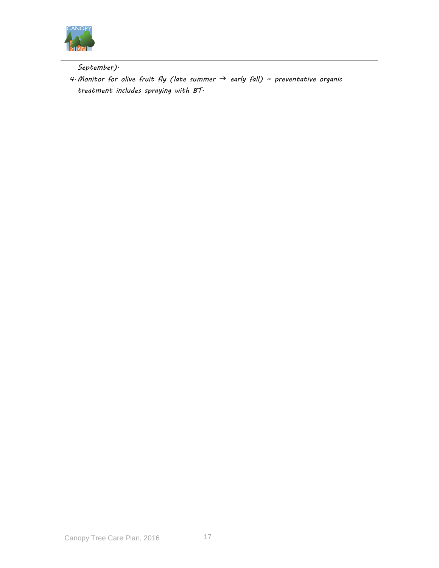

*September).*

*4.Monitor for olive fruit fly (late summer early fall) ~ preventative organic treatment includes spraying with BT.*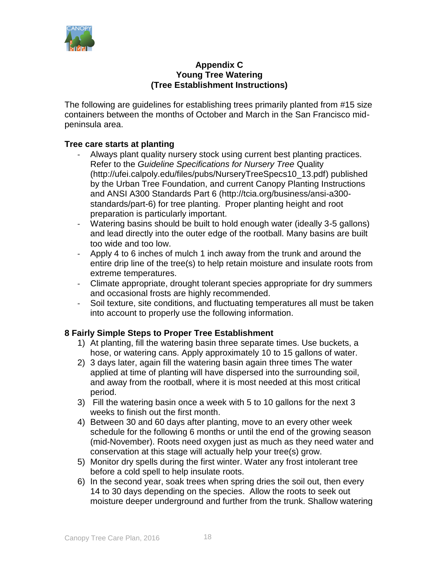

#### **Appendix C Young Tree Watering (Tree Establishment Instructions)**

The following are guidelines for establishing trees primarily planted from #15 size containers between the months of October and March in the San Francisco midpeninsula area.

#### **Tree care starts at planting**

- Always plant quality nursery stock using current best planting practices. Refer to the *Guideline Specifications for Nursery Tree* Quality (http://ufei.calpoly.edu/files/pubs/NurseryTreeSpecs10\_13.pdf) published by the Urban Tree Foundation, and current Canopy Planting Instructions and ANSI A300 Standards Part 6 (http://tcia.org/business/ansi-a300 standards/part-6) for tree planting. Proper planting height and root preparation is particularly important.
- Watering basins should be built to hold enough water (ideally 3-5 gallons) and lead directly into the outer edge of the rootball. Many basins are built too wide and too low.
- Apply 4 to 6 inches of mulch 1 inch away from the trunk and around the entire drip line of the tree(s) to help retain moisture and insulate roots from extreme temperatures.
- Climate appropriate, drought tolerant species appropriate for dry summers and occasional frosts are highly recommended.
- Soil texture, site conditions, and fluctuating temperatures all must be taken into account to properly use the following information.

#### **8 Fairly Simple Steps to Proper Tree Establishment**

- 1) At planting, fill the watering basin three separate times. Use buckets, a hose, or watering cans. Apply approximately 10 to 15 gallons of water.
- 2) 3 days later, again fill the watering basin again three times The water applied at time of planting will have dispersed into the surrounding soil, and away from the rootball, where it is most needed at this most critical period.
- 3) Fill the watering basin once a week with 5 to 10 gallons for the next 3 weeks to finish out the first month.
- 4) Between 30 and 60 days after planting, move to an every other week schedule for the following 6 months or until the end of the growing season (mid-November). Roots need oxygen just as much as they need water and conservation at this stage will actually help your tree(s) grow.
- 5) Monitor dry spells during the first winter. Water any frost intolerant tree before a cold spell to help insulate roots.
- 6) In the second year, soak trees when spring dries the soil out, then every 14 to 30 days depending on the species. Allow the roots to seek out moisture deeper underground and further from the trunk. Shallow watering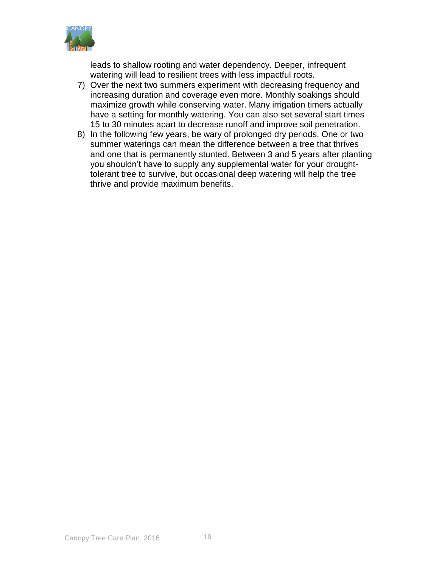

leads to shallow rooting and water dependency. Deeper, infrequent watering will lead to resilient trees with less impactful roots.

- 7) Over the next two summers experiment with decreasing frequency and increasing duration and coverage even more. Monthly soakings should maximize growth while conserving water. Many irrigation timers actually have a setting for monthly watering. You can also set several start times 15 to 30 minutes apart to decrease runoff and improve soil penetration.
- 8) In the following few years, be wary of prolonged dry periods. One or two summer waterings can mean the difference between a tree that thrives and one that is permanently stunted. Between 3 and 5 years after planting you shouldn't have to supply any supplemental water for your droughttolerant tree to survive, but occasional deep watering will help the tree thrive and provide maximum benefits.